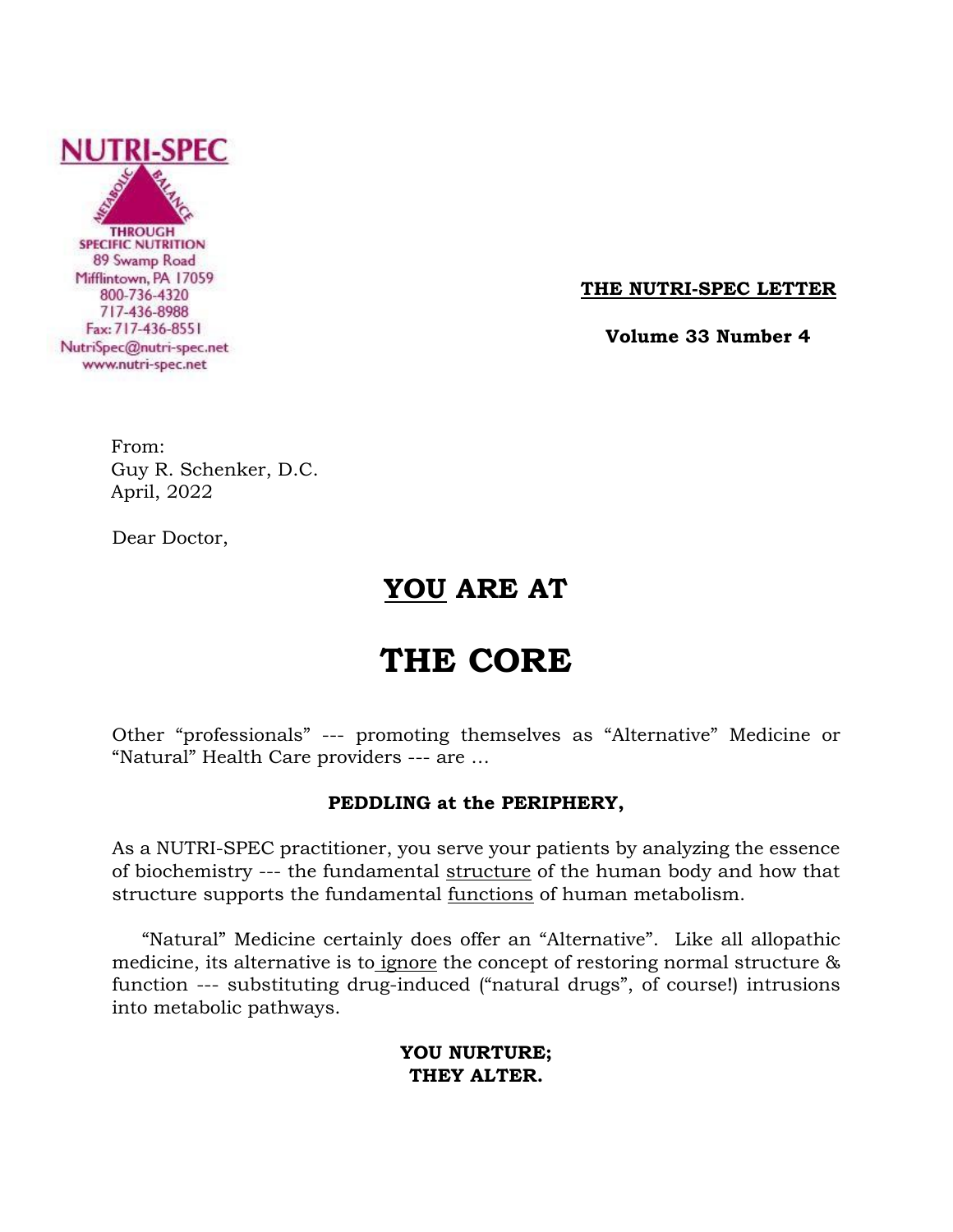

**THE NUTRI-SPEC LETTER**

 **Volume 33 Number 4**

From: Guy R. Schenker, D.C. April, 2022

Dear Doctor,

## **YOU ARE AT**

# **THE CORE**

Other "professionals" --- promoting themselves as "Alternative" Medicine or "Natural" Health Care providers --- are …

## **PEDDLING at the PERIPHERY,**

As a NUTRI-SPEC practitioner, you serve your patients by analyzing the essence of biochemistry --- the fundamental structure of the human body and how that structure supports the fundamental functions of human metabolism.

 "Natural" Medicine certainly does offer an "Alternative". Like all allopathic medicine, its alternative is to ignore the concept of restoring normal structure & function --- substituting drug-induced ("natural drugs", of course!) intrusions into metabolic pathways.

## **YOU NURTURE; THEY ALTER.**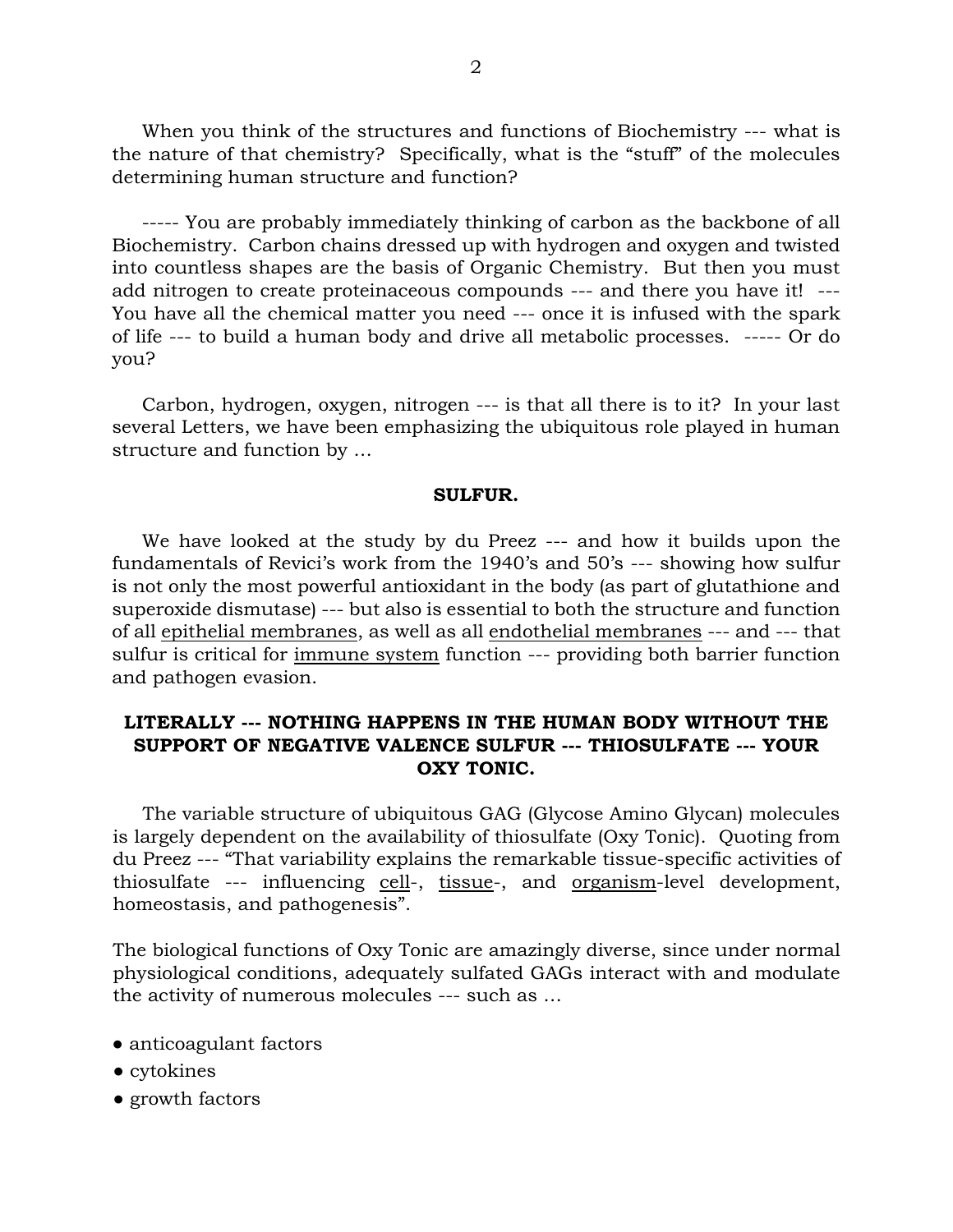When you think of the structures and functions of Biochemistry --- what is the nature of that chemistry? Specifically, what is the "stuff" of the molecules determining human structure and function?

 ----- You are probably immediately thinking of carbon as the backbone of all Biochemistry. Carbon chains dressed up with hydrogen and oxygen and twisted into countless shapes are the basis of Organic Chemistry. But then you must add nitrogen to create proteinaceous compounds --- and there you have it! --- You have all the chemical matter you need --- once it is infused with the spark of life --- to build a human body and drive all metabolic processes. ----- Or do you?

 Carbon, hydrogen, oxygen, nitrogen --- is that all there is to it? In your last several Letters, we have been emphasizing the ubiquitous role played in human structure and function by …

#### **SULFUR.**

 We have looked at the study by du Preez --- and how it builds upon the fundamentals of Revici's work from the 1940's and 50's --- showing how sulfur is not only the most powerful antioxidant in the body (as part of glutathione and superoxide dismutase) --- but also is essential to both the structure and function of all epithelial membranes, as well as all endothelial membranes --- and --- that sulfur is critical for immune system function --- providing both barrier function and pathogen evasion.

## **LITERALLY --- NOTHING HAPPENS IN THE HUMAN BODY WITHOUT THE SUPPORT OF NEGATIVE VALENCE SULFUR --- THIOSULFATE --- YOUR OXY TONIC.**

 The variable structure of ubiquitous GAG (Glycose Amino Glycan) molecules is largely dependent on the availability of thiosulfate (Oxy Tonic). Quoting from du Preez --- "That variability explains the remarkable tissue-specific activities of thiosulfate --- influencing cell-, tissue-, and organism-level development, homeostasis, and pathogenesis".

The biological functions of Oxy Tonic are amazingly diverse, since under normal physiological conditions, adequately sulfated GAGs interact with and modulate the activity of numerous molecules --- such as …

- anticoagulant factors
- cytokines
- growth factors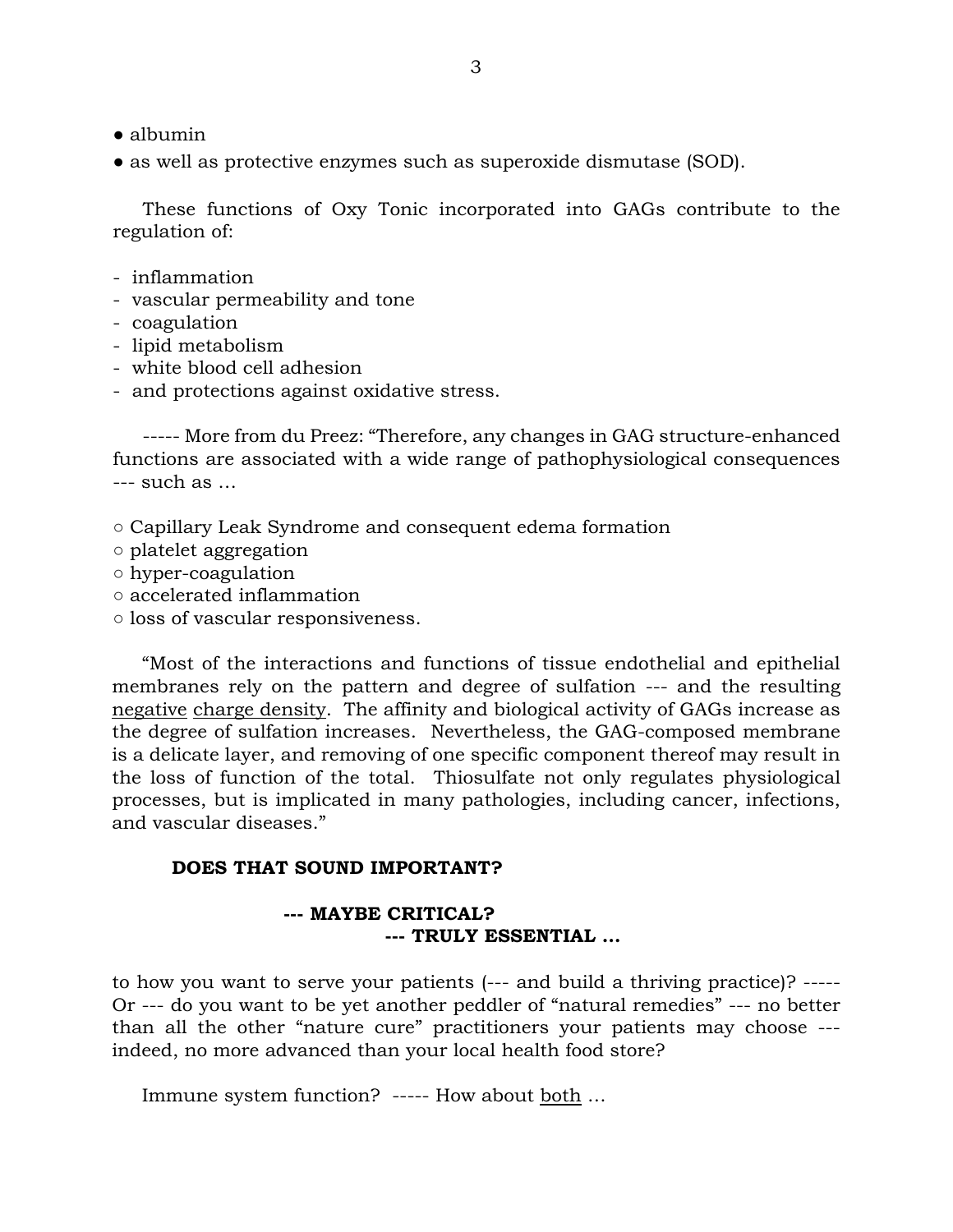- albumin
- as well as protective enzymes such as superoxide dismutase (SOD).

 These functions of Oxy Tonic incorporated into GAGs contribute to the regulation of:

- inflammation
- vascular permeability and tone
- coagulation
- lipid metabolism
- white blood cell adhesion
- and protections against oxidative stress.

 ----- More from du Preez: "Therefore, any changes in GAG structure-enhanced functions are associated with a wide range of pathophysiological consequences --- such as …

- Capillary Leak Syndrome and consequent edema formation
- platelet aggregation
- hyper-coagulation
- accelerated inflammation
- loss of vascular responsiveness.

 "Most of the interactions and functions of tissue endothelial and epithelial membranes rely on the pattern and degree of sulfation --- and the resulting negative charge density. The affinity and biological activity of GAGs increase as the degree of sulfation increases. Nevertheless, the GAG-composed membrane is a delicate layer, and removing of one specific component thereof may result in the loss of function of the total. Thiosulfate not only regulates physiological processes, but is implicated in many pathologies, including cancer, infections, and vascular diseases."

#### **DOES THAT SOUND IMPORTANT?**

### **--- MAYBE CRITICAL? --- TRULY ESSENTIAL …**

to how you want to serve your patients (--- and build a thriving practice)? ----- Or --- do you want to be yet another peddler of "natural remedies" --- no better than all the other "nature cure" practitioners your patients may choose -- indeed, no more advanced than your local health food store?

Immune system function? ----- How about <u>both</u> ...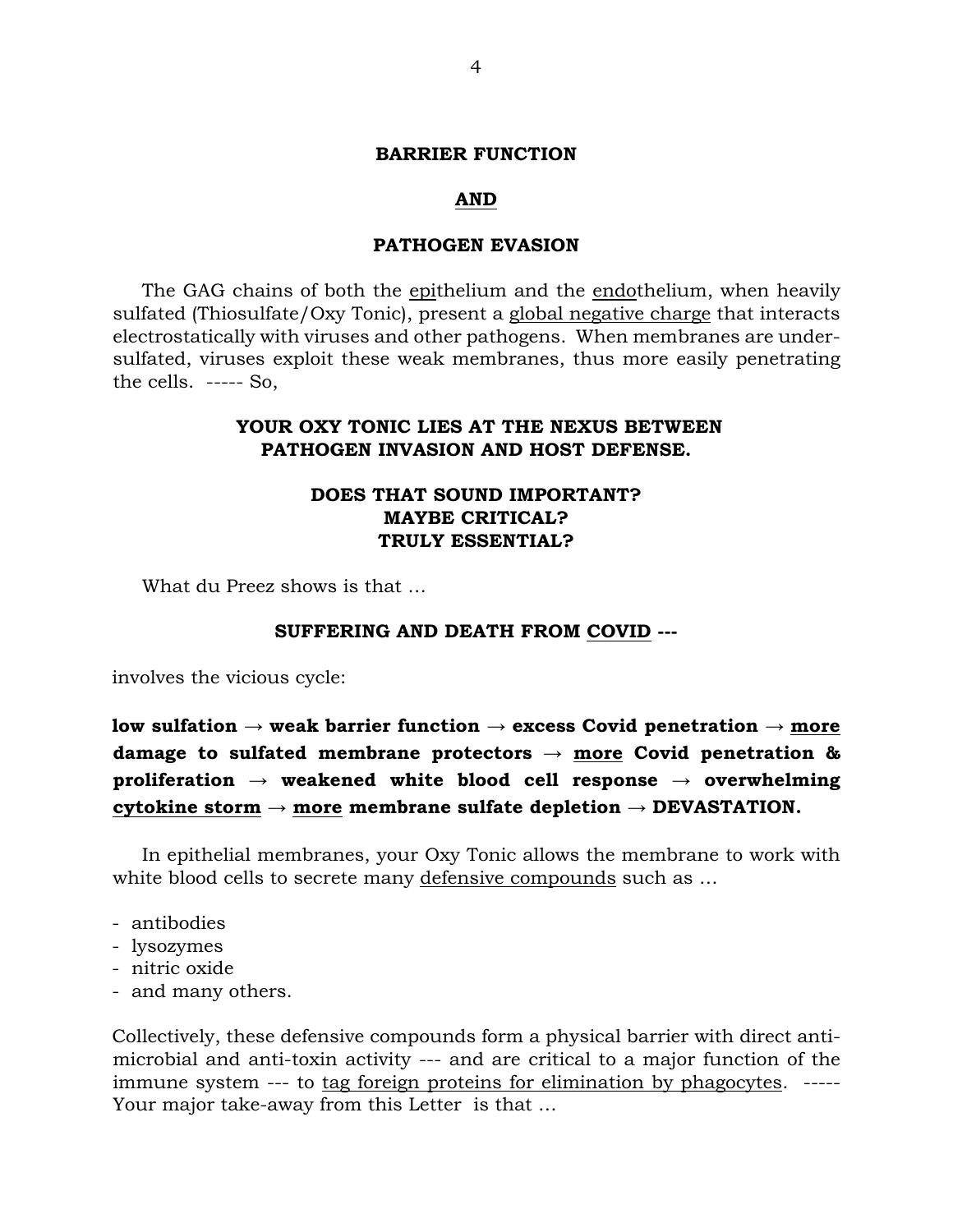#### **BARRIER FUNCTION**

#### **AND**

#### **PATHOGEN EVASION**

 The GAG chains of both the epithelium and the endothelium, when heavily sulfated (Thiosulfate/Oxy Tonic), present a global negative charge that interacts electrostatically with viruses and other pathogens. When membranes are undersulfated, viruses exploit these weak membranes, thus more easily penetrating the cells. ----- So,

## **YOUR OXY TONIC LIES AT THE NEXUS BETWEEN PATHOGEN INVASION AND HOST DEFENSE.**

## **DOES THAT SOUND IMPORTANT? MAYBE CRITICAL? TRULY ESSENTIAL?**

What du Preez shows is that …

#### **SUFFERING AND DEATH FROM COVID ---**

involves the vicious cycle:

**low sulfation** → **weak barrier function** → **excess Covid penetration** → **more damage to sulfated membrane protectors** → **more Covid penetration & proliferation** → **weakened white blood cell response** → **overwhelming cytokine storm** → **more membrane sulfate depletion** → **DEVASTATION.**

 In epithelial membranes, your Oxy Tonic allows the membrane to work with white blood cells to secrete many defensive compounds such as …

- antibodies
- lysozymes
- nitric oxide
- and many others.

Collectively, these defensive compounds form a physical barrier with direct antimicrobial and anti-toxin activity --- and are critical to a major function of the immune system --- to tag foreign proteins for elimination by phagocytes. ----- Your major take-away from this Letter is that …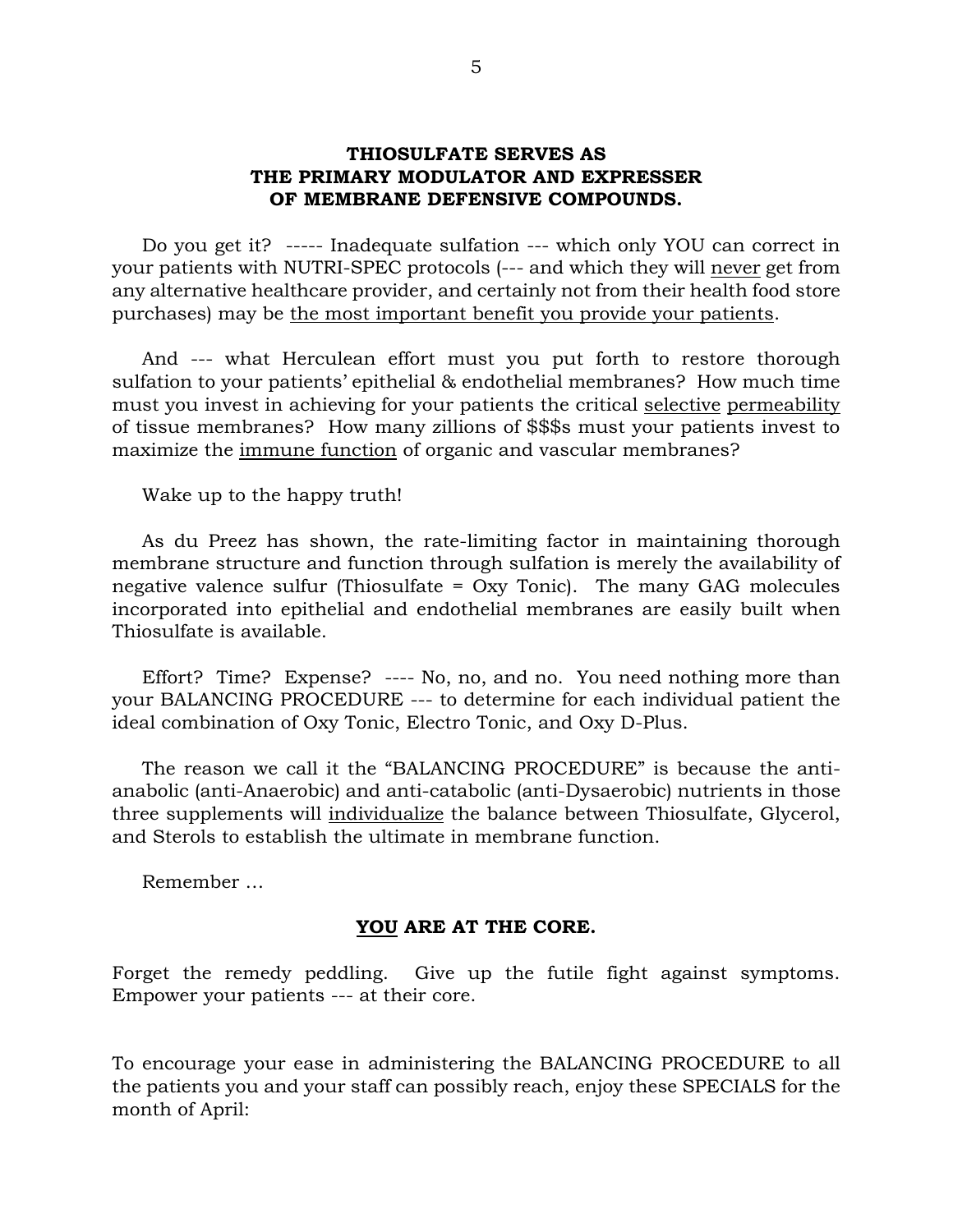## **THIOSULFATE SERVES AS THE PRIMARY MODULATOR AND EXPRESSER OF MEMBRANE DEFENSIVE COMPOUNDS.**

 Do you get it? ----- Inadequate sulfation --- which only YOU can correct in your patients with NUTRI-SPEC protocols (--- and which they will never get from any alternative healthcare provider, and certainly not from their health food store purchases) may be the most important benefit you provide your patients.

 And --- what Herculean effort must you put forth to restore thorough sulfation to your patients' epithelial & endothelial membranes? How much time must you invest in achieving for your patients the critical selective permeability of tissue membranes? How many zillions of \$\$\$s must your patients invest to maximize the immune function of organic and vascular membranes?

Wake up to the happy truth!

 As du Preez has shown, the rate-limiting factor in maintaining thorough membrane structure and function through sulfation is merely the availability of negative valence sulfur (Thiosulfate = Oxy Tonic). The many GAG molecules incorporated into epithelial and endothelial membranes are easily built when Thiosulfate is available.

 Effort? Time? Expense? ---- No, no, and no. You need nothing more than your BALANCING PROCEDURE --- to determine for each individual patient the ideal combination of Oxy Tonic, Electro Tonic, and Oxy D-Plus.

 The reason we call it the "BALANCING PROCEDURE" is because the antianabolic (anti-Anaerobic) and anti-catabolic (anti-Dysaerobic) nutrients in those three supplements will individualize the balance between Thiosulfate, Glycerol, and Sterols to establish the ultimate in membrane function.

Remember …

#### **YOU ARE AT THE CORE.**

Forget the remedy peddling. Give up the futile fight against symptoms. Empower your patients --- at their core.

To encourage your ease in administering the BALANCING PROCEDURE to all the patients you and your staff can possibly reach, enjoy these SPECIALS for the month of April: